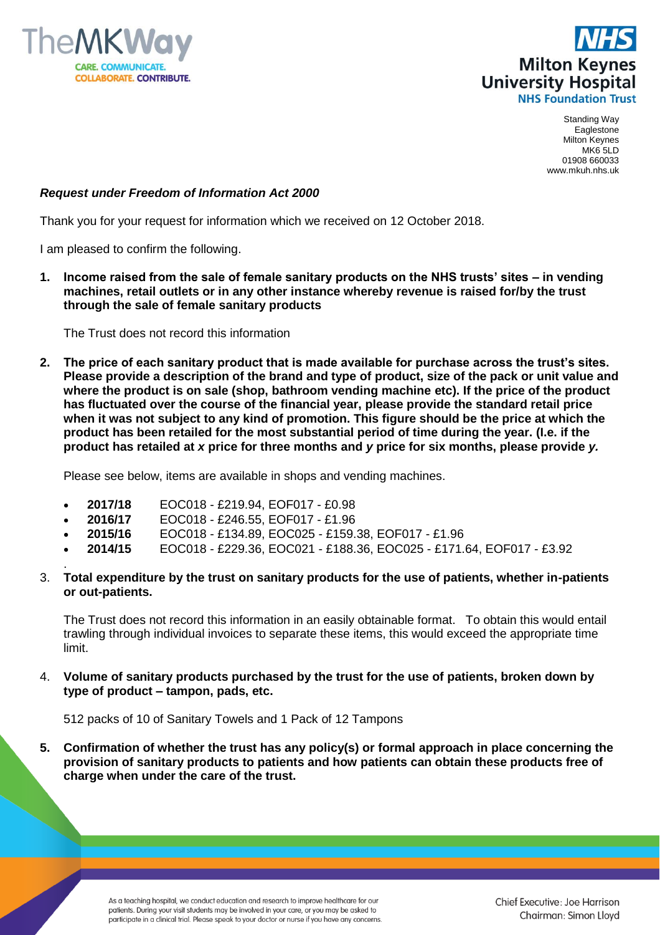



Standing Way Eaglestone Milton Keynes MK6 5LD 01908 660033 www.mkuh.nhs.uk

## *Request under Freedom of Information Act 2000*

Thank you for your request for information which we received on 12 October 2018.

I am pleased to confirm the following.

**1. Income raised from the sale of female sanitary products on the NHS trusts' sites – in vending machines, retail outlets or in any other instance whereby revenue is raised for/by the trust through the sale of female sanitary products**

The Trust does not record this information

**2. The price of each sanitary product that is made available for purchase across the trust's sites. Please provide a description of the brand and type of product, size of the pack or unit value and where the product is on sale (shop, bathroom vending machine etc). If the price of the product has fluctuated over the course of the financial year, please provide the standard retail price when it was not subject to any kind of promotion. This figure should be the price at which the product has been retailed for the most substantial period of time during the year. (I.e. if the product has retailed at** *x* **price for three months and** *y* **price for six months, please provide** *y.*

Please see below, items are available in shops and vending machines.

- **2017/18** EOC018 £219.94, EOF017 £0.98
- **2016/17** EOC018 £246.55, EOF017 £1.96
- **2015/16** EOC018 £134.89, EOC025 £159.38, EOF017 £1.96
- **2014/15** EOC018 £229.36, EOC021 £188.36, EOC025 £171.64, EOF017 £3.92
- . 3. **Total expenditure by the trust on sanitary products for the use of patients, whether in-patients or out-patients.**

The Trust does not record this information in an easily obtainable format. To obtain this would entail trawling through individual invoices to separate these items, this would exceed the appropriate time limit.

4. **Volume of sanitary products purchased by the trust for the use of patients, broken down by type of product – tampon, pads, etc.**

512 packs of 10 of Sanitary Towels and 1 Pack of 12 Tampons

**5. Confirmation of whether the trust has any policy(s) or formal approach in place concerning the provision of sanitary products to patients and how patients can obtain these products free of charge when under the care of the trust.**

> As a teaching hospital, we conduct education and research to improve healthcare for our patients. During your visit students may be involved in your care, or you may be asked to participate in a clinical trial. Please speak to your doctor or nurse if you have any concerns.

Chief Executive: Joe Harrison Chairman: Simon Lloyd